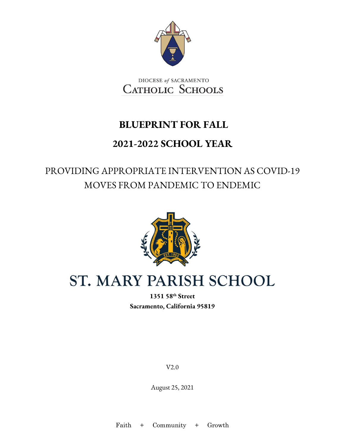

DIOCESE of SACRAMENTO **CATHOLIC SCHOOLS** 

### **BLUEPRINT FOR FALL**

### **2021-2022 SCHOOL YEAR**

### PROVIDING APPROPRIATE INTERVENTION AS COVID-19 MOVES FROM PANDEMIC TO ENDEMIC



# ST. MARY PARISH SCHOOL

**1351 58th Street Sacramento, California 95819** 

V2.0

August 25, 2021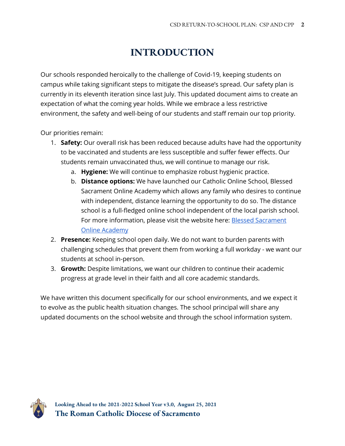### **INTRODUCTION**

Our schools responded heroically to the challenge of Covid-19, keeping students on campus while taking significant steps to mitigate the disease's spread. Our safety plan is currently in its eleventh iteration since last July. This updated document aims to create an expectation of what the coming year holds. While we embrace a less restrictive environment, the safety and well-being of our students and staff remain our top priority.

Our priorities remain:

- 1. **Safety:** Our overall risk has been reduced because adults have had the opportunity to be vaccinated and students are less susceptible and suffer fewer effects. Our students remain unvaccinated thus, we will continue to manage our risk.
	- a. **Hygiene:** We will continue to emphasize robust hygienic practice.
	- b. **Distance options:** We have launched our Catholic Online School, Blessed Sacrament Online Academy which allows any family who desires to continue with independent, distance learning the opportunity to do so. The distance school is a full-fledged online school independent of the local parish school. For more information, please visit the website here: **Blessed Sacrament** [Online Academy](https://www.scd.org/schools/online)
- 2. **Presence:** Keeping school open daily. We do not want to burden parents with challenging schedules that prevent them from working a full workday - we want our students at school in-person.
- 3. **Growth:** Despite limitations, we want our children to continue their academic progress at grade level in their faith and all core academic standards.

We have written this document specifically for our school environments, and we expect it to evolve as the public health situation changes. The school principal will share any updated documents on the school website and through the school information system.

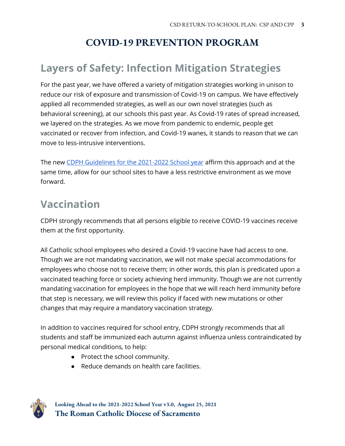### **COVID-19 PREVENTION PROGRAM**

### **Layers of Safety: Infection Mitigation Strategies**

For the past year, we have offered a variety of mitigation strategies working in unison to reduce our risk of exposure and transmission of Covid-19 on campus. We have effectively applied all recommended strategies, as well as our own novel strategies (such as behavioral screening), at our schools this past year. As Covid-19 rates of spread increased, we layered on the strategies. As we move from pandemic to endemic, people get vaccinated or recover from infection, and Covid-19 wanes, it stands to reason that we can move to less-intrusive interventions.

The new [CDPH Guidelines for the 2021-2022 School year](https://www.cdph.ca.gov/Programs/CID/DCDC/Pages/COVID-19/K-12-Guidance-2021-22-School-Year.aspx) affirm this approach and at the same time, allow for our school sites to have a less restrictive environment as we move forward.

# **Vaccination**

CDPH strongly recommends that all persons eligible to receive COVID-19 vaccines receive them at the first opportunity.

All Catholic school employees who desired a Covid-19 vaccine have had access to one. Though we are not mandating vaccination, we will not make special accommodations for employees who choose not to receive them; in other words, this plan is predicated upon a vaccinated teaching force or society achieving herd immunity. Though we are not currently mandating vaccination for employees in the hope that we will reach herd immunity before that step is necessary, we will review this policy if faced with new mutations or other changes that may require a mandatory vaccination strategy.

In addition to vaccines required for school entry, CDPH strongly recommends that all students and staff be immunized each autumn against influenza unless contraindicated by personal medical conditions, to help:

- Protect the school community.
- Reduce demands on health care facilities.

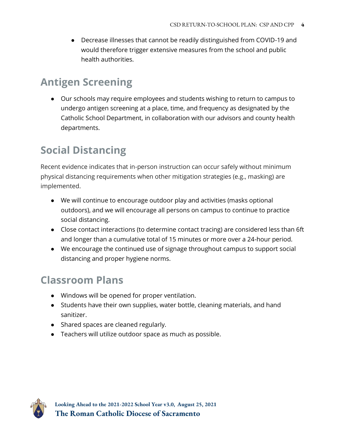● Decrease illnesses that cannot be readily distinguished from COVID-19 and would therefore trigger extensive measures from the school and public health authorities.

### **Antigen Screening**

● Our schools may require employees and students wishing to return to campus to undergo antigen screening at a place, time, and frequency as designated by the Catholic School Department, in collaboration with our advisors and county health departments.

# **Social Distancing**

Recent evidence indicates that in-person instruction can occur safely without minimum physical distancing requirements when other mitigation strategies (e.g., masking) are implemented.

- We will continue to encourage outdoor play and activities (masks optional outdoors), and we will encourage all persons on campus to continue to practice social distancing.
- Close contact interactions (to determine contact tracing) are considered less than 6ft and longer than a cumulative total of 15 minutes or more over a 24-hour period.
- We encourage the continued use of signage throughout campus to support social distancing and proper hygiene norms.

# **Classroom Plans**

- Windows will be opened for proper ventilation.
- Students have their own supplies, water bottle, cleaning materials, and hand sanitizer.
- Shared spaces are cleaned regularly.
- Teachers will utilize outdoor space as much as possible.

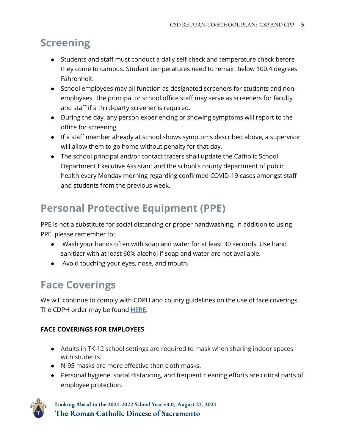### **Screening**

- Students and staff must conduct a daily self-check and temperature check before they come to campus. Student temperatures need to remain below 100.4 degrees Fahrenheit.
- School employees may all function as designated screeners for students and nonemployees. The principal or school office staff may serve as screeners for faculty and staff if a third-party screener is required.
- During the day, any person experiencing or showing symptoms will report to the office for screening.
- If a staff member already at school shows symptoms described above, a supervisor will allow them to go home without penalty for that day.
- The school principal and/or contact tracers shall update the Catholic School Department Executive Assistant and the school's county department of public health every Monday morning regarding confirmed COVID-19 cases amongst staff and students from the previous week.

# **Personal Protective Equipment (PPE)**

PPE is not a substitute for social distancing or proper handwashing. In addition to using PPE, please remember to:

- Wash your hands often with soap and water for at least 30 seconds. Use hand sanitizer with at least 60% alcohol if soap and water are not available.
- Avoid touching your eyes, nose, and mouth.

### **Face Coverings**

We will continue to comply with CDPH and county guidelines on the use of face coverings. The CDPH order may be found [HERE.](https://www.cdph.ca.gov/Programs/CID/DCDC/Pages/COVID-19/Requirement-for-Universal-Masking-Indoors-at-K-12-Schools.aspx)

#### **FACE COVERINGS FOR EMPLOYEES**

- Adults in TK-12 school settings are required to mask when sharing indoor spaces with students.
- N-95 masks are more effective than cloth masks.
- Personal hygiene, social distancing, and frequent cleaning efforts are critical parts of employee protection.

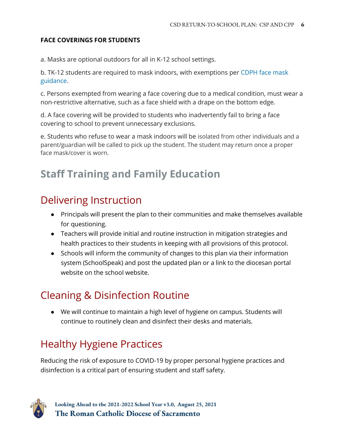#### **FACE COVERINGS FOR STUDENTS**

a. Masks are optional outdoors for all in K-12 school settings.

b. TK-12 students are required to mask indoors, with exemptions per [CDPH face mask](https://www.cdph.ca.gov/Programs/CID/DCDC/Pages/COVID-19/guidance-for-face-coverings.aspx)  [guidance.](https://www.cdph.ca.gov/Programs/CID/DCDC/Pages/COVID-19/guidance-for-face-coverings.aspx)

c. Persons exempted from wearing a face covering due to a medical condition, must wear a non-restrictive alternative, such as a face shield with a drape on the bottom edge.

d. A face covering will be provided to students who inadvertently fail to bring a face covering to school to prevent unnecessary exclusions.

e. Students who refuse to wear a mask indoors will be isolated from other individuals and a parent/guardian will be called to pick up the student. The student may return once a proper face mask/cover is worn.

### **Staff Training and Family Education**

### Delivering Instruction

- Principals will present the plan to their communities and make themselves available for questioning.
- Teachers will provide initial and routine instruction in mitigation strategies and health practices to their students in keeping with all provisions of this protocol.
- Schools will inform the community of changes to this plan via their information system (SchoolSpeak) and post the updated plan or a link to the diocesan portal website on the school website.

# Cleaning & Disinfection Routine

● We will continue to maintain a high level of hygiene on campus. Students will continue to routinely clean and disinfect their desks and materials.

# Healthy Hygiene Practices

Reducing the risk of exposure to COVID-19 by proper personal hygiene practices and disinfection is a critical part of ensuring student and staff safety.

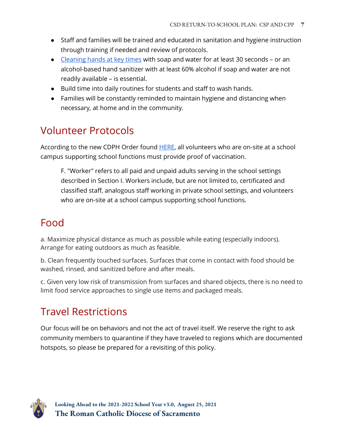- Staff and families will be trained and educated in sanitation and hygiene instruction through training if needed and review of protocols.
- [Cleaning hands at key times](https://www.cdc.gov/handwashing/when-how-handwashing.html) with soap and water for at least 30 seconds or an alcohol-based hand sanitizer with at least 60% alcohol if soap and water are not readily available – is essential.
- Build time into daily routines for students and staff to wash hands.
- Families will be constantly reminded to maintain hygiene and distancing when necessary, at home and in the community.

### Volunteer Protocols

According to the new CDPH Order found **HERE**, all volunteers who are on-site at a school campus supporting school functions must provide proof of vaccination.

F. "Worker" refers to all paid and unpaid adults serving in the school settings described in Section I. Workers include, but are not limited to, certificated and classified staff, analogous staff working in private school settings, and volunteers who are on-site at a school campus supporting school functions.

### Food

a. Maximize physical distance as much as possible while eating (especially indoors). Arrange for eating outdoors as much as feasible.

b. Clean frequently touched surfaces. Surfaces that come in contact with food should be washed, rinsed, and sanitized before and after meals.

c. Given very low risk of transmission from surfaces and shared objects, there is no need to limit food service approaches to single use items and packaged meals.

### Travel Restrictions

Our focus will be on behaviors and not the act of travel itself. We reserve the right to ask community members to quarantine if they have traveled to regions which are documented hotspots, so please be prepared for a revisiting of this policy.

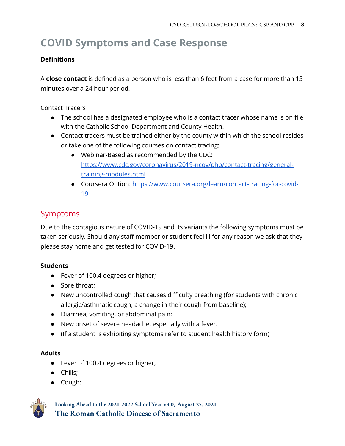# **COVID Symptoms and Case Response**

#### **Definitions**

A **close contact** is defined as a person who is less than 6 feet from a case for more than 15 minutes over a 24 hour period.

Contact Tracers

- The school has a designated employee who is a contact tracer whose name is on file with the Catholic School Department and County Health.
- Contact tracers must be trained either by the county within which the school resides or take one of the following courses on contact tracing:
	- Webinar-Based as recommended by the CDC: [https://www.cdc.gov/coronavirus/2019-ncov/php/contact-tracing/general](https://www.cdc.gov/coronavirus/2019-ncov/php/contact-tracing/general-training-modules.html)[training-modules.html](https://www.cdc.gov/coronavirus/2019-ncov/php/contact-tracing/general-training-modules.html)
	- Coursera Option: [https://www.coursera.org/learn/contact-tracing-for-covid-](https://www.coursera.org/learn/contact-tracing-for-covid-19)[19](https://www.coursera.org/learn/contact-tracing-for-covid-19)

#### Symptoms

Due to the contagious nature of COVID-19 and its variants the following symptoms must be taken seriously. Should any staff member or student feel ill for any reason we ask that they please stay home and get tested for COVID-19.

#### **Students**

- Fever of 100.4 degrees or higher;
- Sore throat:
- New uncontrolled cough that causes difficulty breathing (for students with chronic allergic/asthmatic cough, a change in their cough from baseline);
- Diarrhea, vomiting, or abdominal pain;
- New onset of severe headache, especially with a fever.
- (If a student is exhibiting symptoms refer to student health history form)

#### **Adults**

- Fever of 100.4 degrees or higher;
- Chills;
- Cough;

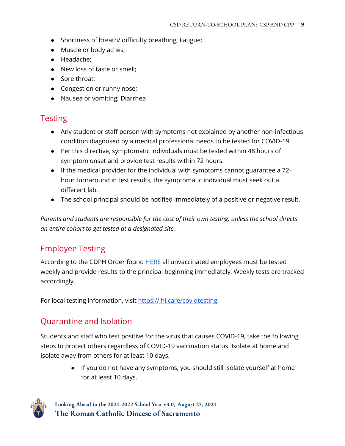- Shortness of breath/ difficulty breathing; Fatigue;
- Muscle or body aches;
- Headache;
- New loss of taste or smell;
- Sore throat:
- Congestion or runny nose;
- Nausea or vomiting; Diarrhea

#### **Testing**

- Any student or staff person with symptoms not explained by another non-infectious condition diagnosed by a medical professional needs to be tested for COVID-19.
- Per this directive, symptomatic individuals must be tested within 48 hours of symptom onset and provide test results within 72 hours.
- If the medical provider for the individual with symptoms cannot guarantee a 72 hour turnaround in test results, the symptomatic individual must seek out a different lab.
- The school principal should be notified immediately of a positive or negative result.

*Parents and students are responsible for the cost of their own testing, unless the school directs an entire cohort to get tested at a designated site.* 

#### Employee Testing

According to the CDPH Order found **HERE** all unvaccinated employees must be tested weekly and provide results to the principal beginning immediately. Weekly tests are tracked accordingly.

For local testing information, visit<https://lhi.care/covidtesting>

#### Quarantine and Isolation

Students and staff who test positive for the virus that causes COVID-19, take the following steps to protect others regardless of COVID-19 vaccination status: [Isolate at home](https://www.cdc.gov/coronavirus/2019-ncov/if-you-are-sick/isolation.html) and isolate away from others for at least 10 days.

> ● If you do not have any symptoms, you should still [isolate yourself at home](https://www.cdc.gov/coronavirus/2019-ncov/if-you-are-sick/isolation.html)  for at least 10 days.

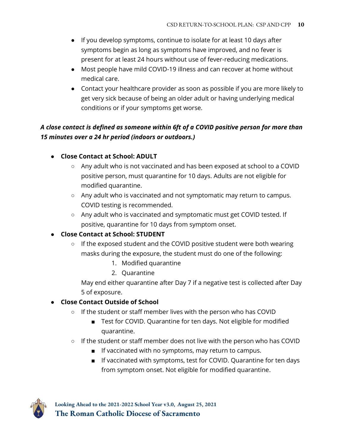- If you develop symptoms, continue to isolate for at least 10 days after symptoms begin as long as symptoms have improved, and no fever is present for at least 24 hours without use of fever-reducing medications.
- Most people have mild COVID-19 illness and can recover at home without medical care.
- Contact your healthcare provider as soon as possible if you are more likely to get very sick because of being an older adult or havin[g underlying medical](https://www.cdc.gov/coronavirus/2019-ncov/need-extra-precautions/people-with-medical-conditions.html)  [conditions](https://www.cdc.gov/coronavirus/2019-ncov/need-extra-precautions/people-with-medical-conditions.html) or if your symptoms get worse.

#### *A close contact is defined as someone within 6ft of a COVID positive person for more than 15 minutes over a 24 hr period (indoors or outdoors.)*

#### ● **Close Contact at School: ADULT**

- Any adult who is not vaccinated and has been exposed at school to a COVID positive person, must quarantine for 10 days. Adults are not eligible for modified quarantine.
- Any adult who is vaccinated and not symptomatic may return to campus. COVID testing is recommended.
- Any adult who is vaccinated and symptomatic must get COVID tested. If positive, quarantine for 10 days from symptom onset.

#### ● **Close Contact at School: STUDENT**

- If the exposed student and the COVID positive student were both wearing masks during the exposure, the student must do one of the following:
	- 1. Modified quarantine
	- 2. Quarantine

May end either quarantine after Day 7 if a negative test is collected after Day 5 of exposure.

#### ● **Close Contact Outside of School**

- If the student or staff member lives with the person who has COVID
	- Test for COVID. Quarantine for ten days. Not eligible for modified quarantine.
- If the student or staff member does not live with the person who has COVID
	- If vaccinated with no symptoms, may return to campus.
	- If vaccinated with symptoms, test for COVID. Quarantine for ten days from symptom onset. Not eligible for modified quarantine.

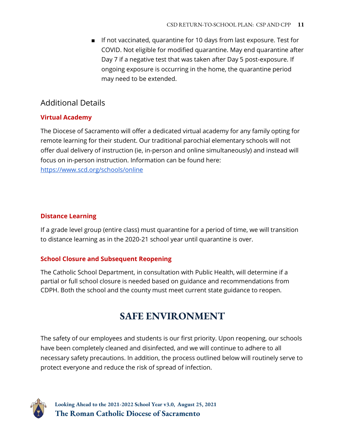■ If not vaccinated, quarantine for 10 days from last exposure. Test for COVID. Not eligible for modified quarantine. May end quarantine after Day 7 if a negative test that was taken after Day 5 post-exposure. If ongoing exposure is occurring in the home, the quarantine period may need to be extended.

#### Additional Details

#### **Virtual Academy**

The Diocese of Sacramento will offer a dedicated virtual academy for any family opting for remote learning for their student. Our traditional parochial elementary schools will not offer dual delivery of instruction (ie, in-person and online simultaneously) and instead will focus on in-person instruction. Information can be found here: <https://www.scd.org/schools/online>

#### **Distance Learning**

If a grade level group (entire class) must quarantine for a period of time, we will transition to distance learning as in the 2020-21 school year until quarantine is over.

#### **School Closure and Subsequent Reopening**

The Catholic School Department, in consultation with Public Health, will determine if a partial or full school closure is needed based on guidance and recommendations from CDPH. Both the school and the county must meet current state guidance to reopen.

### **SAFE ENVIRONMENT**

The safety of our employees and students is our first priority. Upon reopening, our schools have been completely cleaned and disinfected, and we will continue to adhere to all necessary safety precautions. In addition, the process outlined below will routinely serve to protect everyone and reduce the risk of spread of infection.